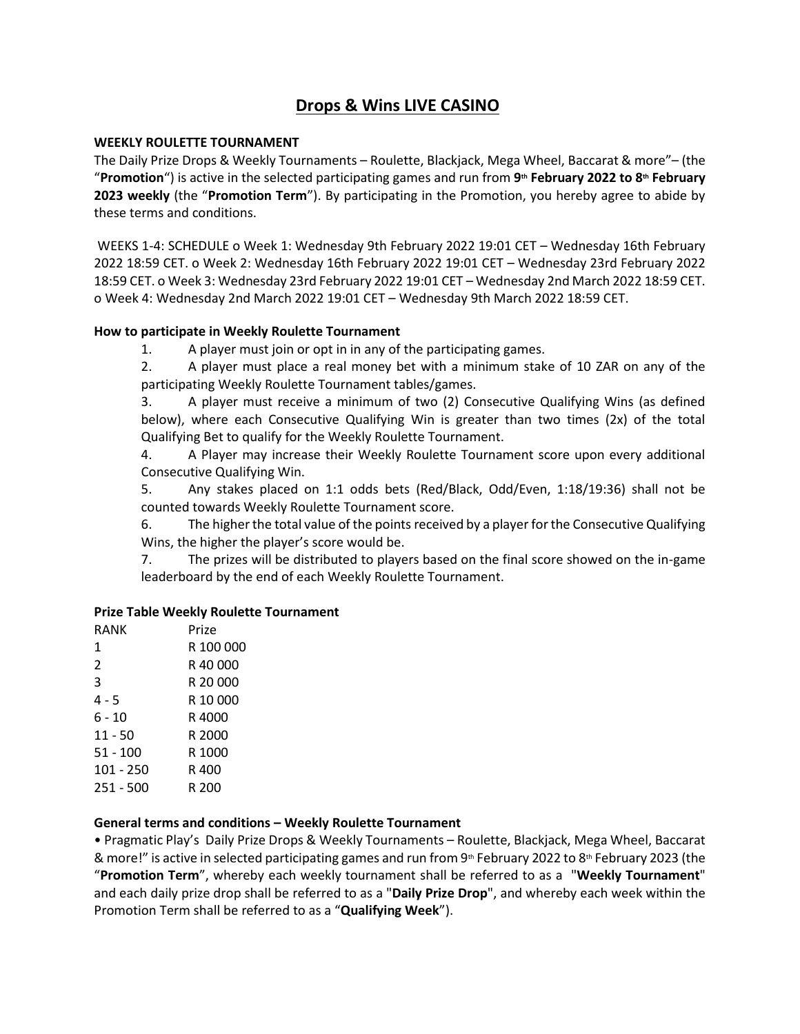# **Drops & Wins LIVE CASINO**

### **WEEKLY ROULETTE TOURNAMENT**

The Daily Prize Drops & Weekly Tournaments – Roulette, Blackjack, Mega Wheel, Baccarat & more"– (the "**Promotion**") is active in the selected participating games and run from **9th February 2022 to 8th February 2023 weekly** (the "**Promotion Term**"). By participating in the Promotion, you hereby agree to abide by these terms and conditions.

WEEKS 1-4: SCHEDULE o Week 1: Wednesday 9th February 2022 19:01 CET – Wednesday 16th February 2022 18:59 CET. o Week 2: Wednesday 16th February 2022 19:01 CET – Wednesday 23rd February 2022 18:59 CET. o Week 3: Wednesday 23rd February 2022 19:01 CET – Wednesday 2nd March 2022 18:59 CET. o Week 4: Wednesday 2nd March 2022 19:01 CET – Wednesday 9th March 2022 18:59 CET.

#### **How to participate in Weekly Roulette Tournament**

1. A player must join or opt in in any of the participating games.

2. A player must place a real money bet with a minimum stake of 10 ZAR on any of the participating Weekly Roulette Tournament tables/games.

3. A player must receive a minimum of two (2) Consecutive Qualifying Wins (as defined below), where each Consecutive Qualifying Win is greater than two times (2x) of the total Qualifying Bet to qualify for the Weekly Roulette Tournament.

4. A Player may increase their Weekly Roulette Tournament score upon every additional Consecutive Qualifying Win.

5. Any stakes placed on 1:1 odds bets (Red/Black, Odd/Even, 1:18/19:36) shall not be counted towards Weekly Roulette Tournament score.

6. The higher the total value of the points received by a player for the Consecutive Qualifying Wins, the higher the player's score would be. 

7. The prizes will be distributed to players based on the final score showed on the in-game leaderboard by the end of each Weekly Roulette Tournament.

#### **Prize Table Weekly Roulette Tournament**

| RANK      | Prize     |
|-----------|-----------|
| 1         | R 100 000 |
| 2         | R 40.000  |
| 3         | R 20 000  |
| 4 - 5     | R 10 000  |
| 6 - 10    | R 4000    |
| $11 - 50$ | R 2000    |
| 51 - 100  | R 1000    |
| 101 - 250 | R 400     |
| 251 - 500 | R 200     |
|           |           |

#### **General terms and conditions – Weekly Roulette Tournament**

• Pragmatic Play's  Daily Prize Drops & Weekly Tournaments – Roulette, Blackjack, Mega Wheel, Baccarat & more!" is active in selected participating games and run from  $9<sup>th</sup>$  February 2022 to 8<sup>th</sup> February 2023 (the "**Promotion Term**", whereby each weekly tournament shall be referred to as a "**Weekly Tournament**" and each daily prize drop shall be referred to as a "**Daily Prize Drop**", and whereby each week within the Promotion Term shall be referred to as a "**Qualifying Week**").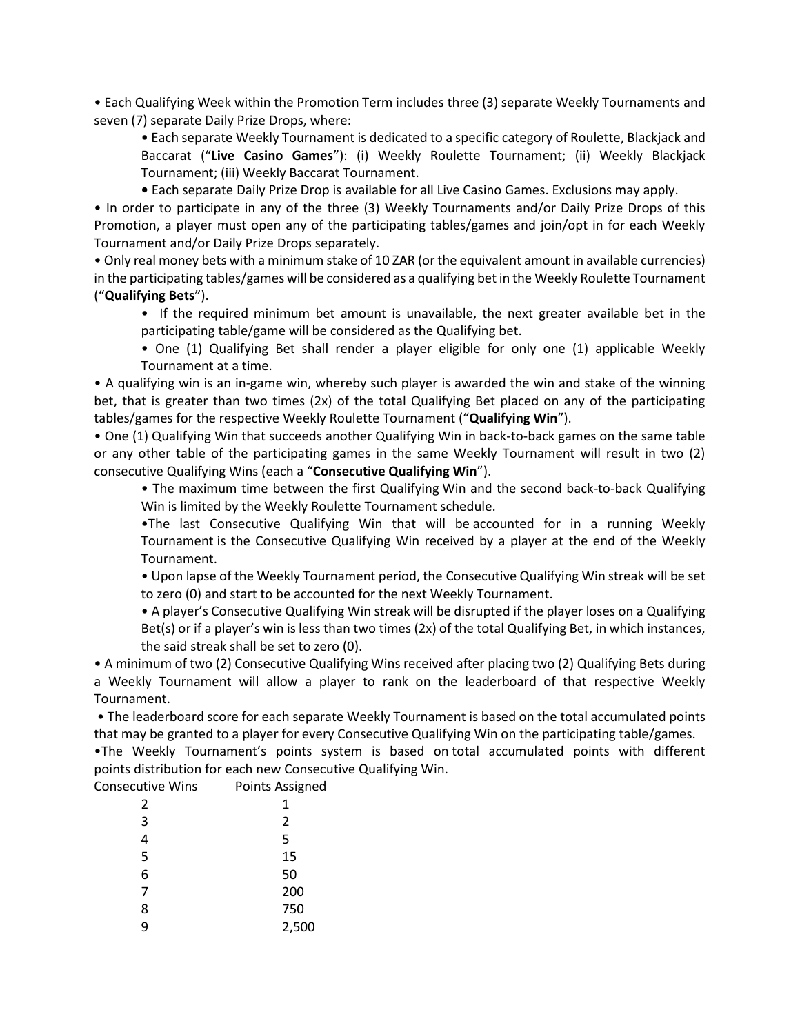• Each Qualifying Week within the Promotion Term includes three (3) separate Weekly Tournaments and seven (7) separate Daily Prize Drops, where:

• Each separate Weekly Tournament is dedicated to a specific category of Roulette, Blackjack and Baccarat ("**Live Casino Games**"): (i) Weekly Roulette Tournament; (ii) Weekly Blackjack Tournament; (iii) Weekly Baccarat Tournament.

**•** Each separate Daily Prize Drop is available for all Live Casino Games. Exclusions may apply.

• In order to participate in any of the three (3) Weekly Tournaments and/or Daily Prize Drops of this Promotion, a player must open any of the participating tables/games and join/opt in for each Weekly Tournament and/or Daily Prize Drops separately.

• Only real money bets with a minimum stake of 10 ZAR (or the equivalent amount in available currencies) in the participating tables/games will be considered as a qualifying bet in the Weekly Roulette Tournament ("**Qualifying Bets**").

• If the required minimum bet amount is unavailable, the next greater available bet in the participating table/game will be considered as the Qualifying bet.

• One (1) Qualifying Bet shall render a player eligible for only one (1) applicable Weekly Tournament at a time.

• A qualifying win is an in-game win, whereby such player is awarded the win and stake of the winning bet, that is greater than two times (2x) of the total Qualifying Bet placed on any of the participating tables/games for the respective Weekly Roulette Tournament ("**Qualifying Win**").

• One (1) Qualifying Win that succeeds another Qualifying Win in back-to-back games on the same table or any other table of the participating games in the same Weekly Tournament will result in two (2) consecutive Qualifying Wins (each a "**Consecutive Qualifying Win**").

• The maximum time between the first Qualifying Win and the second back-to-back Qualifying Win is limited by the Weekly Roulette Tournament schedule.

•The last Consecutive Qualifying Win that will be accounted for in a running Weekly Tournament is the Consecutive Qualifying Win received by a player at the end of the Weekly Tournament.

• Upon lapse of the Weekly Tournament period, the Consecutive Qualifying Win streak will be set to zero (0) and start to be accounted for the next Weekly Tournament.

• A player's Consecutive Qualifying Win streak will be disrupted if the player loses on a Qualifying Bet(s) or if a player's win is less than two times (2x) of the total Qualifying Bet, in which instances, the said streak shall be set to zero (0).

• A minimum of two (2) Consecutive Qualifying Wins received after placing two (2) Qualifying Bets during a Weekly Tournament will allow a player to rank on the leaderboard of that respective Weekly Tournament.

• The leaderboard score for each separate Weekly Tournament is based on the total accumulated points that may be granted to a player for every Consecutive Qualifying Win on the participating table/games.

•The Weekly Tournament's points system is based on total accumulated points with different points distribution for each new Consecutive Qualifying Win.

| <b>Consecutive Wins</b> | Points Assigned |
|-------------------------|-----------------|
| 2                       | 1               |
| 3                       | 2               |
| 4                       | 5               |
| 5                       | 15              |
| 6                       | 50              |
| 7                       | 200             |
| 8                       | 750             |
| q                       | 2,500           |
|                         |                 |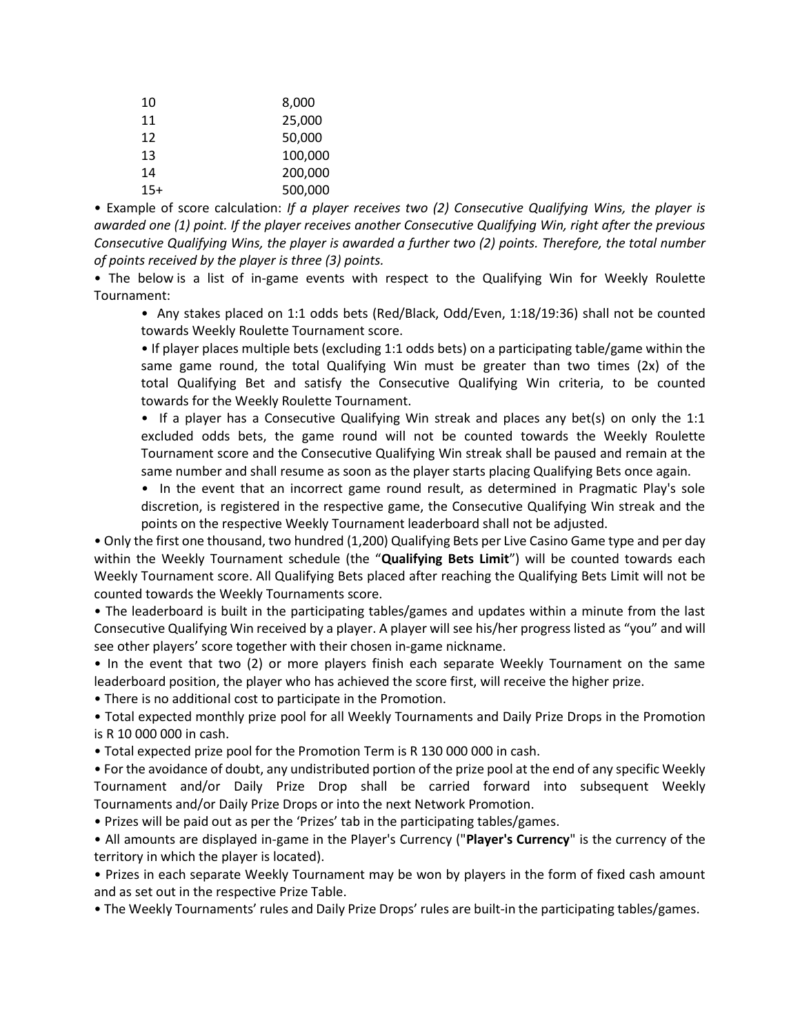| 10    | 8,000   |
|-------|---------|
| 11    | 25,000  |
| 12    | 50,000  |
| 13    | 100,000 |
| 14    | 200,000 |
| $15+$ | 500,000 |

• Example of score calculation: *If a player receives two (2) Consecutive Qualifying Wins, the player is awarded one (1) point. If the player receives another Consecutive Qualifying Win, right after the previous Consecutive Qualifying Wins, the player is awarded a further two (2) points. Therefore, the total number of points received by the player is three (3) points.*

• The below is a list of in-game events with respect to the Qualifying Win for Weekly Roulette Tournament:

• Any stakes placed on 1:1 odds bets (Red/Black, Odd/Even, 1:18/19:36) shall not be counted towards Weekly Roulette Tournament score.

• If player places multiple bets (excluding 1:1 odds bets) on a participating table/game within the same game round, the total Qualifying Win must be greater than two times (2x) of the total Qualifying Bet and satisfy the Consecutive Qualifying Win criteria, to be counted towards for the Weekly Roulette Tournament.

• If a player has a Consecutive Qualifying Win streak and places any bet(s) on only the 1:1 excluded odds bets, the game round will not be counted towards the Weekly Roulette Tournament score and the Consecutive Qualifying Win streak shall be paused and remain at the same number and shall resume as soon as the player starts placing Qualifying Bets once again.

*•* In the event that an incorrect game round result, as determined in Pragmatic Play's sole discretion, is registered in the respective game, the Consecutive Qualifying Win streak and the points on the respective Weekly Tournament leaderboard shall not be adjusted.

• Only the first one thousand, two hundred (1,200) Qualifying Bets per Live Casino Game type and per day within the Weekly Tournament schedule (the "**Qualifying Bets Limit**") will be counted towards each Weekly Tournament score. All Qualifying Bets placed after reaching the Qualifying Bets Limit will not be counted towards the Weekly Tournaments score.

• The leaderboard is built in the participating tables/games and updates within a minute from the last Consecutive Qualifying Win received by a player. A player will see his/her progress listed as "you" and will see other players' score together with their chosen in-game nickname.

• In the event that two (2) or more players finish each separate Weekly Tournament on the same leaderboard position, the player who has achieved the score first, will receive the higher prize. 

• There is no additional cost to participate in the Promotion.

• Total expected monthly prize pool for all Weekly Tournaments and Daily Prize Drops in the Promotion is R 10 000 000 in cash.

• Total expected prize pool for the Promotion Term is R 130 000 000 in cash.

• For the avoidance of doubt, any undistributed portion of the prize pool at the end of any specific Weekly Tournament and/or Daily Prize Drop shall be carried forward into subsequent Weekly Tournaments and/or Daily Prize Drops or into the next Network Promotion.

• Prizes will be paid out as per the 'Prizes' tab in the participating tables/games. 

• All amounts are displayed in-game in the Player's Currency ("**Player's Currency**" is the currency of the territory in which the player is located). 

• Prizes in each separate Weekly Tournament may be won by players in the form of fixed cash amount and as set out in the respective Prize Table.

• The Weekly Tournaments' rules and Daily Prize Drops' rules are built-in the participating tables/games.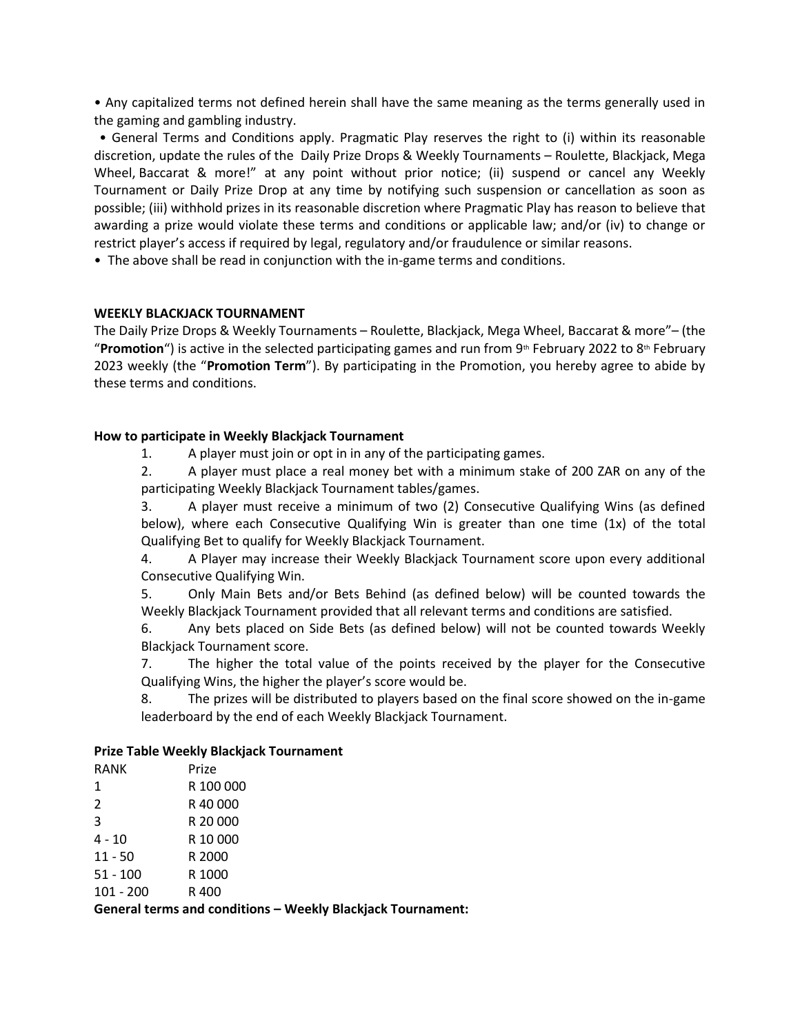• Any capitalized terms not defined herein shall have the same meaning as the terms generally used in the gaming and gambling industry.

• General Terms and Conditions apply. Pragmatic Play reserves the right to (i) within its reasonable discretion, update the rules of the  Daily Prize Drops & Weekly Tournaments – Roulette, Blackjack, Mega Wheel, Baccarat & more!" at any point without prior notice; (ii) suspend or cancel any Weekly Tournament or Daily Prize Drop at any time by notifying such suspension or cancellation as soon as possible; (iii) withhold prizes in its reasonable discretion where Pragmatic Play has reason to believe that awarding a prize would violate these terms and conditions or applicable law; and/or (iv) to change or restrict player's access if required by legal, regulatory and/or fraudulence or similar reasons.

• The above shall be read in conjunction with the in-game terms and conditions.

#### **WEEKLY BLACKJACK TOURNAMENT**

The Daily Prize Drops & Weekly Tournaments – Roulette, Blackjack, Mega Wheel, Baccarat & more"– (the "**Promotion**") is active in the selected participating games and run from 9<sup>th</sup> February 2022 to 8<sup>th</sup> February 2023 weekly (the "**Promotion Term**"). By participating in the Promotion, you hereby agree to abide by these terms and conditions.

#### **How to participate in Weekly Blackjack Tournament**

1. A player must join or opt in in any of the participating games.

2. A player must place a real money bet with a minimum stake of 200 ZAR on any of the participating Weekly Blackjack Tournament tables/games.

3. A player must receive a minimum of two (2) Consecutive Qualifying Wins (as defined below), where each Consecutive Qualifying Win is greater than one time (1x) of the total Qualifying Bet to qualify for Weekly Blackjack Tournament.

4. A Player may increase their Weekly Blackjack Tournament score upon every additional Consecutive Qualifying Win.

5. Only Main Bets and/or Bets Behind (as defined below) will be counted towards the Weekly Blackjack Tournament provided that all relevant terms and conditions are satisfied.

6. Any bets placed on Side Bets (as defined below) will not be counted towards Weekly Blackjack Tournament score.

7. The higher the total value of the points received by the player for the Consecutive Qualifying Wins, the higher the player's score would be. 

8. The prizes will be distributed to players based on the final score showed on the in-game leaderboard by the end of each Weekly Blackjack Tournament. 

#### **Prize Table Weekly Blackjack Tournament**

| RANK        | Prize     |
|-------------|-----------|
| 1           | R 100 000 |
| 2           | R 40.000  |
| 3           | R 20 000  |
| 4 - 10      | R 10 000  |
| $11 - 50$   | R 2000    |
| $51 - 100$  | R 1000    |
| $101 - 200$ | R 400     |

**General terms and conditions – Weekly Blackjack Tournament:**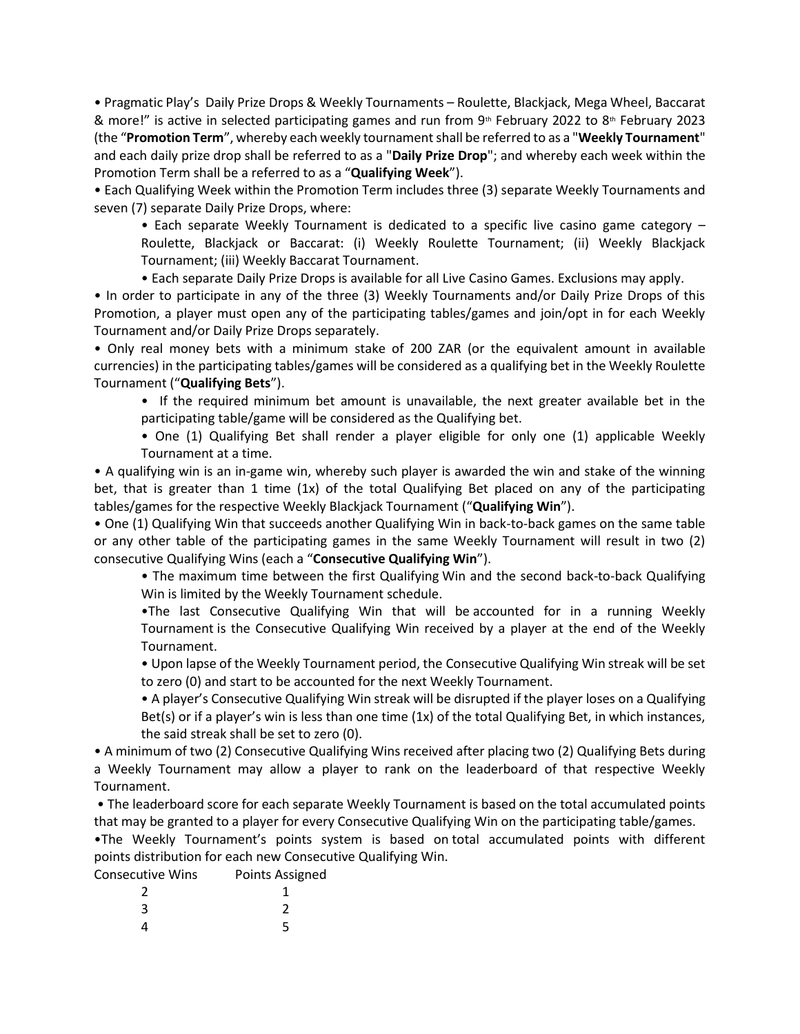• Pragmatic Play's  Daily Prize Drops & Weekly Tournaments – Roulette, Blackjack, Mega Wheel, Baccarat & more!" is active in selected participating games and run from  $9<sup>th</sup>$  February 2022 to  $8<sup>th</sup>$  February 2023 (the "**Promotion Term**", whereby each weekly tournamentshall be referred to as a "**Weekly Tournament**" and each daily prize drop shall be referred to as a "**Daily Prize Drop**"; and whereby each week within the Promotion Term shall be a referred to as a "**Qualifying Week**").

• Each Qualifying Week within the Promotion Term includes three (3) separate Weekly Tournaments and seven (7) separate Daily Prize Drops, where:

• Each separate Weekly Tournament is dedicated to a specific live casino game category – Roulette, Blackjack or Baccarat: (i) Weekly Roulette Tournament; (ii) Weekly Blackjack Tournament; (iii) Weekly Baccarat Tournament.

• Each separate Daily Prize Drops is available for all Live Casino Games. Exclusions may apply.

• In order to participate in any of the three (3) Weekly Tournaments and/or Daily Prize Drops of this Promotion, a player must open any of the participating tables/games and join/opt in for each Weekly Tournament and/or Daily Prize Drops separately.

• Only real money bets with a minimum stake of 200 ZAR (or the equivalent amount in available currencies) in the participating tables/games will be considered as a qualifying bet in the Weekly Roulette Tournament ("**Qualifying Bets**").

• If the required minimum bet amount is unavailable, the next greater available bet in the participating table/game will be considered as the Qualifying bet.

• One (1) Qualifying Bet shall render a player eligible for only one (1) applicable Weekly Tournament at a time.

• A qualifying win is an in-game win, whereby such player is awarded the win and stake of the winning bet, that is greater than 1 time (1x) of the total Qualifying Bet placed on any of the participating tables/games for the respective Weekly Blackjack Tournament ("**Qualifying Win**").

• One (1) Qualifying Win that succeeds another Qualifying Win in back-to-back games on the same table or any other table of the participating games in the same Weekly Tournament will result in two (2) consecutive Qualifying Wins (each a "**Consecutive Qualifying Win**").

• The maximum time between the first Qualifying Win and the second back-to-back Qualifying Win is limited by the Weekly Tournament schedule.

•The last Consecutive Qualifying Win that will be accounted for in a running Weekly Tournament is the Consecutive Qualifying Win received by a player at the end of the Weekly Tournament.  

• Upon lapse of the Weekly Tournament period, the Consecutive Qualifying Win streak will be set to zero (0) and start to be accounted for the next Weekly Tournament.

• A player's Consecutive Qualifying Win streak will be disrupted if the player loses on a Qualifying Bet(s) or if a player's win is less than one time (1x) of the total Qualifying Bet, in which instances, the said streak shall be set to zero (0).

• A minimum of two (2) Consecutive Qualifying Wins received after placing two (2) Qualifying Bets during a Weekly Tournament may allow a player to rank on the leaderboard of that respective Weekly Tournament.

• The leaderboard score for each separate Weekly Tournament is based on the total accumulated points that may be granted to a player for every Consecutive Qualifying Win on the participating table/games.

•The Weekly Tournament's points system is based on total accumulated points with different points distribution for each new Consecutive Qualifying Win.

Consecutive Wins Points Assigned

| $\overline{2}$ | $\mathbf{1}$   |
|----------------|----------------|
| $\overline{3}$ | $\overline{2}$ |
| $\overline{4}$ | 5              |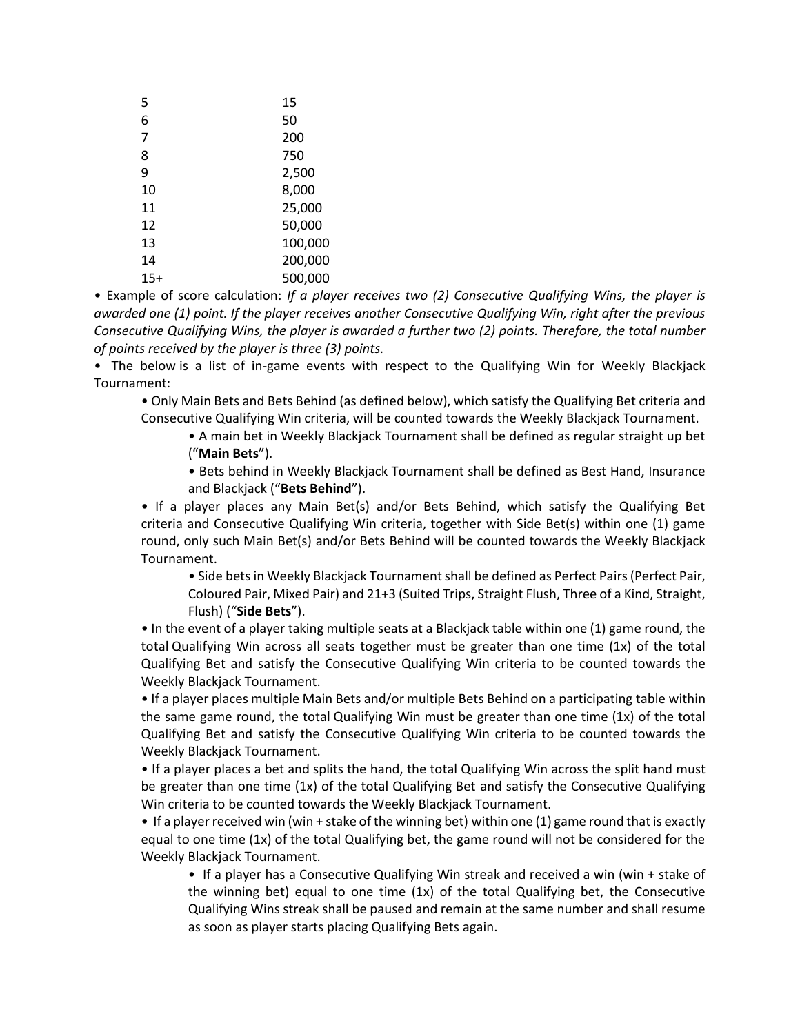| 5   | 15      |
|-----|---------|
| 6   | 50      |
| 7   | 200     |
| 8   | 750     |
| 9   | 2,500   |
| 10  | 8,000   |
| 11  | 25,000  |
| 12  | 50,000  |
| 13  | 100,000 |
| 14  | 200,000 |
| 15+ | 500,000 |

• Example of score calculation: *If a player receives two (2) Consecutive Qualifying Wins, the player is awarded one (1) point. If the player receives another Consecutive Qualifying Win, right after the previous Consecutive Qualifying Wins, the player is awarded a further two (2) points. Therefore, the total number of points received by the player is three (3) points.*

•  The below is a list of in-game events with respect to the Qualifying Win for Weekly Blackjack Tournament:

• Only Main Bets and Bets Behind (as defined below), which satisfy the Qualifying Bet criteria and Consecutive Qualifying Win criteria, will be counted towards the Weekly Blackjack Tournament.

• A main bet in Weekly Blackjack Tournament shall be defined as regular straight up bet ("**Main Bets**").

• Bets behind in Weekly Blackjack Tournament shall be defined as Best Hand, Insurance and Blackjack ("**Bets Behind**").

• If a player places any Main Bet(s) and/or Bets Behind, which satisfy the Qualifying Bet criteria and Consecutive Qualifying Win criteria, together with Side Bet(s) within one (1) game round, only such Main Bet(s) and/or Bets Behind will be counted towards the Weekly Blackjack Tournament.

• Side bets in Weekly Blackjack Tournament shall be defined as Perfect Pairs (Perfect Pair, Coloured Pair, Mixed Pair) and 21+3 (Suited Trips, Straight Flush, Three of a Kind, Straight, Flush) ("**Side Bets**").

• In the event of a player taking multiple seats at a Blackjack table within one (1) game round, the total Qualifying Win across all seats together must be greater than one time (1x) of the total Qualifying Bet and satisfy the Consecutive Qualifying Win criteria to be counted towards the Weekly Blackjack Tournament.

• If a player places multiple Main Bets and/or multiple Bets Behind on a participating table within the same game round, the total Qualifying Win must be greater than one time (1x) of the total Qualifying Bet and satisfy the Consecutive Qualifying Win criteria to be counted towards the Weekly Blackjack Tournament.

• If a player places a bet and splits the hand, the total Qualifying Win across the split hand must be greater than one time (1x) of the total Qualifying Bet and satisfy the Consecutive Qualifying Win criteria to be counted towards the Weekly Blackjack Tournament.

• If a player received win (win + stake of the winning bet) within one (1) game round that is exactly equal to one time (1x) of the total Qualifying bet, the game round will not be considered for the Weekly Blackjack Tournament.

• If a player has a Consecutive Qualifying Win streak and received a win (win + stake of the winning bet) equal to one time  $(1x)$  of the total Qualifying bet, the Consecutive Qualifying Wins streak shall be paused and remain at the same number and shall resume as soon as player starts placing Qualifying Bets again.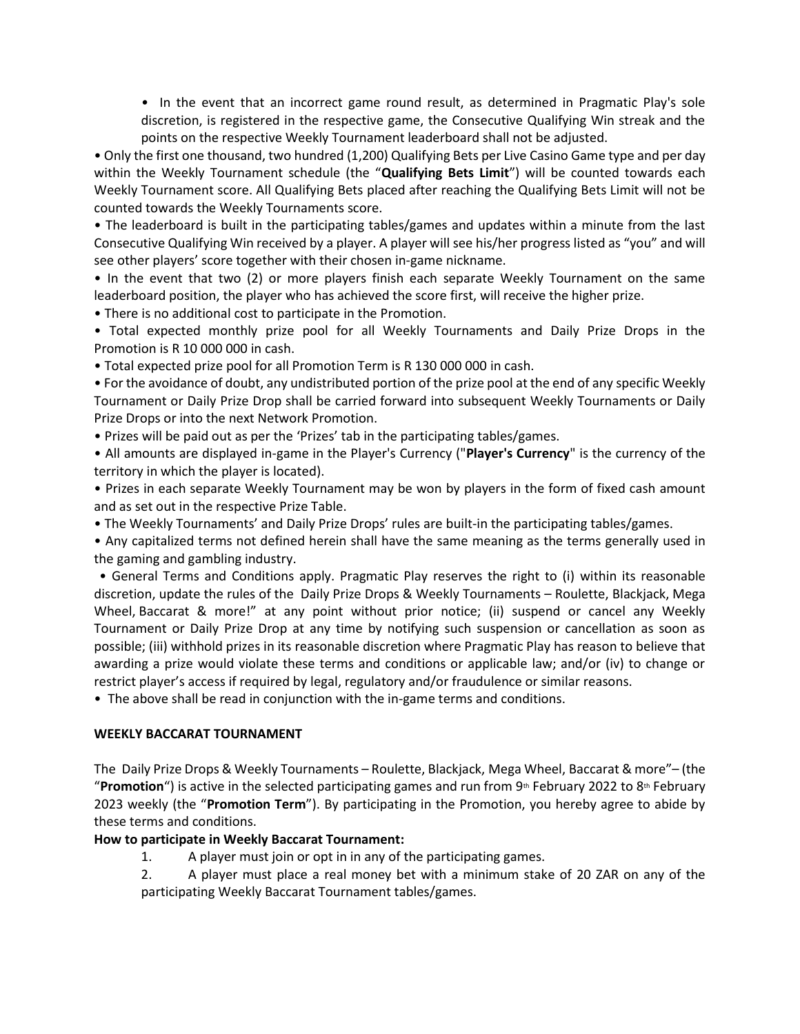*•* In the event that an incorrect game round result, as determined in Pragmatic Play's sole discretion, is registered in the respective game, the Consecutive Qualifying Win streak and the points on the respective Weekly Tournament leaderboard shall not be adjusted.

• Only the first one thousand, two hundred (1,200) Qualifying Bets per Live Casino Game type and per day within the Weekly Tournament schedule (the "**Qualifying Bets Limit**") will be counted towards each Weekly Tournament score. All Qualifying Bets placed after reaching the Qualifying Bets Limit will not be counted towards the Weekly Tournaments score.

• The leaderboard is built in the participating tables/games and updates within a minute from the last Consecutive Qualifying Win received by a player. A player will see his/her progress listed as "you" and will see other players' score together with their chosen in-game nickname.

• In the event that two (2) or more players finish each separate Weekly Tournament on the same leaderboard position, the player who has achieved the score first, will receive the higher prize. 

• There is no additional cost to participate in the Promotion.

• Total expected monthly prize pool for all Weekly Tournaments and Daily Prize Drops in the Promotion is R 10 000 000 in cash.

• Total expected prize pool for all Promotion Term is R 130 000 000 in cash.

• For the avoidance of doubt, any undistributed portion of the prize pool at the end of any specific Weekly Tournament or Daily Prize Drop shall be carried forward into subsequent Weekly Tournaments or Daily Prize Drops or into the next Network Promotion.

• Prizes will be paid out as per the 'Prizes' tab in the participating tables/games. 

• All amounts are displayed in-game in the Player's Currency ("**Player's Currency**" is the currency of the territory in which the player is located). 

• Prizes in each separate Weekly Tournament may be won by players in the form of fixed cash amount and as set out in the respective Prize Table.

• The Weekly Tournaments' and Daily Prize Drops' rules are built-in the participating tables/games. 

• Any capitalized terms not defined herein shall have the same meaning as the terms generally used in the gaming and gambling industry.

• General Terms and Conditions apply. Pragmatic Play reserves the right to (i) within its reasonable discretion, update the rules of the  Daily Prize Drops & Weekly Tournaments – Roulette, Blackjack, Mega Wheel, Baccarat & more!" at any point without prior notice; (ii) suspend or cancel any Weekly Tournament or Daily Prize Drop at any time by notifying such suspension or cancellation as soon as possible; (iii) withhold prizes in its reasonable discretion where Pragmatic Play has reason to believe that awarding a prize would violate these terms and conditions or applicable law; and/or (iv) to change or restrict player's access if required by legal, regulatory and/or fraudulence or similar reasons.

• The above shall be read in conjunction with the in-game terms and conditions.

#### **WEEKLY BACCARAT TOURNAMENT**

The  Daily Prize Drops & Weekly Tournaments – Roulette, Blackjack, Mega Wheel, Baccarat & more"– (the "**Promotion**") is active in the selected participating games and run from  $9<sup>th</sup>$  February 2022 to  $8<sup>th</sup>$  February 2023 weekly (the "**Promotion Term**"). By participating in the Promotion, you hereby agree to abide by these terms and conditions.

#### **How to participate in Weekly Baccarat Tournament:**

1. A player must join or opt in in any of the participating games.

2. A player must place a real money bet with a minimum stake of 20 ZAR on any of the participating Weekly Baccarat Tournament tables/games.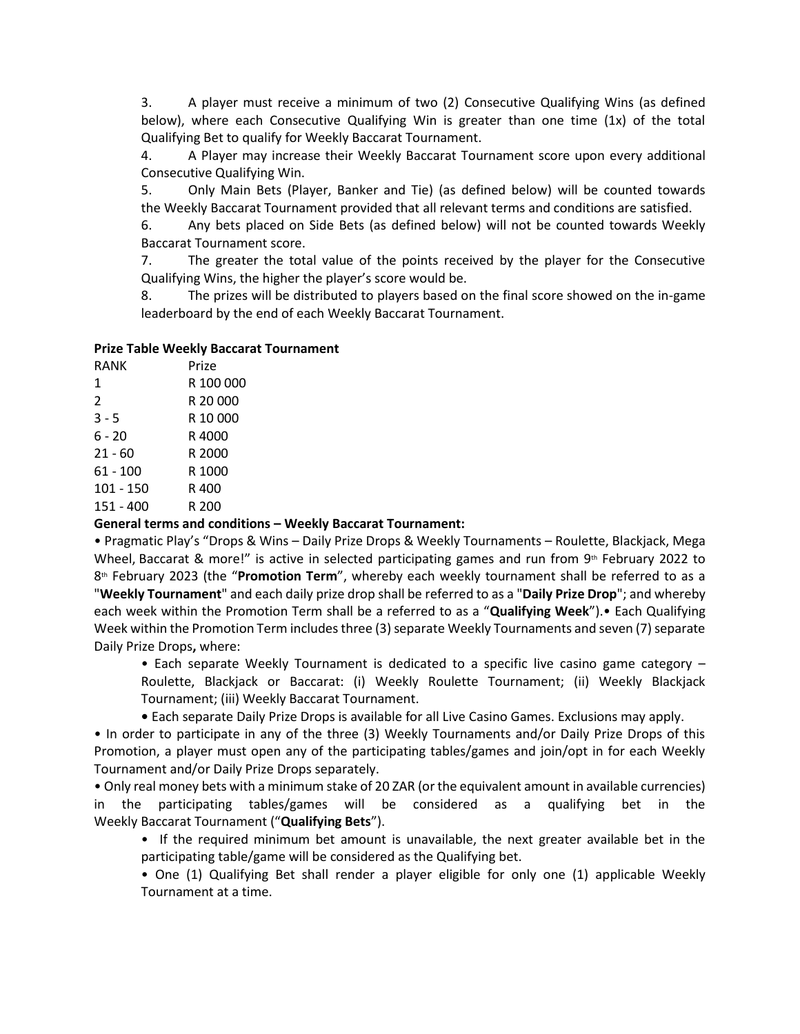3. A player must receive a minimum of two (2) Consecutive Qualifying Wins (as defined below), where each Consecutive Qualifying Win is greater than one time (1x) of the total Qualifying Bet to qualify for Weekly Baccarat Tournament.

4. A Player may increase their Weekly Baccarat Tournament score upon every additional Consecutive Qualifying Win.

5. Only Main Bets (Player, Banker and Tie) (as defined below) will be counted towards the Weekly Baccarat Tournament provided that all relevant terms and conditions are satisfied.

6. Any bets placed on Side Bets (as defined below) will not be counted towards Weekly Baccarat Tournament score.

7. The greater the total value of the points received by the player for the Consecutive Qualifying Wins, the higher the player's score would be. 

8. The prizes will be distributed to players based on the final score showed on the in-game leaderboard by the end of each Weekly Baccarat Tournament.

#### **Prize Table Weekly Baccarat Tournament**

| <b>RANK</b> | Prize     |
|-------------|-----------|
| 1           | R 100 000 |
| 2           | R 20 000  |
| $3 - 5$     | R 10 000  |
| 6 - 20      | R 4000    |
| $21 - 60$   | R 2000    |
| 61 - 100    | R 1000    |
| 101 - 150   | R 400     |
| 151 - 400   | R 200     |

#### **General terms and conditions – Weekly Baccarat Tournament:**

• Pragmatic Play's "Drops & Wins – Daily Prize Drops & Weekly Tournaments – Roulette, Blackjack, Mega Wheel, Baccarat & more!" is active in selected participating games and run from  $9<sup>th</sup>$  February 2022 to 8th February 2023 (the "**Promotion Term**", whereby each weekly tournament shall be referred to as a "**Weekly Tournament**" and each daily prize drop shall be referred to as a "**Daily Prize Drop**"; and whereby each week within the Promotion Term shall be a referred to as a "**Qualifying Week**").• Each Qualifying Week within the Promotion Term includes three (3) separate Weekly Tournaments and seven (7) separate Daily Prize Drops**,** where:

• Each separate Weekly Tournament is dedicated to a specific live casino game category – Roulette, Blackjack or Baccarat: (i) Weekly Roulette Tournament; (ii) Weekly Blackjack Tournament; (iii) Weekly Baccarat Tournament.

**•** Each separate Daily Prize Drops is available for all Live Casino Games. Exclusions may apply.

• In order to participate in any of the three (3) Weekly Tournaments and/or Daily Prize Drops of this Promotion, a player must open any of the participating tables/games and join/opt in for each Weekly Tournament and/or Daily Prize Drops separately.

• Only real money bets with a minimum stake of 20 ZAR (or the equivalent amount in available currencies) in the participating tables/games will be considered as a qualifying bet in the Weekly Baccarat Tournament ("**Qualifying Bets**").

• If the required minimum bet amount is unavailable, the next greater available bet in the participating table/game will be considered as the Qualifying bet.

• One (1) Qualifying Bet shall render a player eligible for only one (1) applicable Weekly Tournament at a time.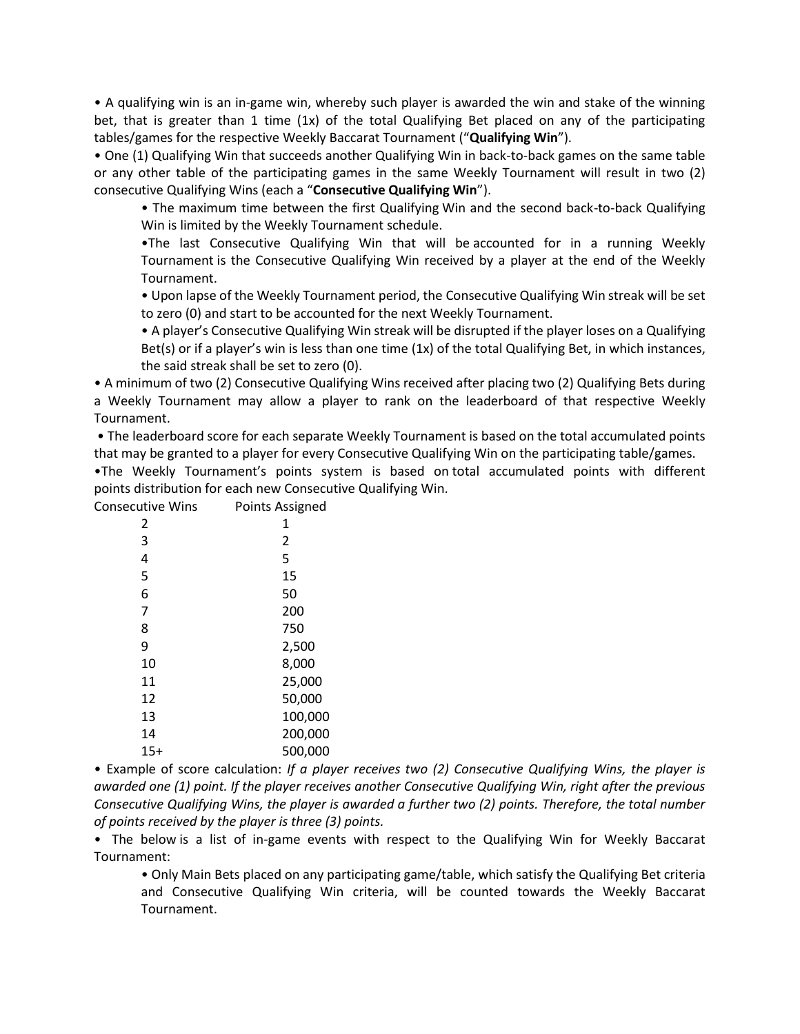• A qualifying win is an in-game win, whereby such player is awarded the win and stake of the winning bet, that is greater than 1 time (1x) of the total Qualifying Bet placed on any of the participating tables/games for the respective Weekly Baccarat Tournament ("**Qualifying Win**").

• One (1) Qualifying Win that succeeds another Qualifying Win in back-to-back games on the same table or any other table of the participating games in the same Weekly Tournament will result in two (2) consecutive Qualifying Wins (each a "**Consecutive Qualifying Win**").

• The maximum time between the first Qualifying Win and the second back-to-back Qualifying Win is limited by the Weekly Tournament schedule.

•The last Consecutive Qualifying Win that will be accounted for in a running Weekly Tournament is the Consecutive Qualifying Win received by a player at the end of the Weekly Tournament.  

• Upon lapse of the Weekly Tournament period, the Consecutive Qualifying Win streak will be set to zero (0) and start to be accounted for the next Weekly Tournament.

• A player's Consecutive Qualifying Win streak will be disrupted if the player loses on a Qualifying Bet(s) or if a player's win is less than one time (1x) of the total Qualifying Bet, in which instances, the said streak shall be set to zero (0).

• A minimum of two (2) Consecutive Qualifying Wins received after placing two (2) Qualifying Bets during a Weekly Tournament may allow a player to rank on the leaderboard of that respective Weekly Tournament.

• The leaderboard score for each separate Weekly Tournament is based on the total accumulated points that may be granted to a player for every Consecutive Qualifying Win on the participating table/games.

•The Weekly Tournament's points system is based on total accumulated points with different points distribution for each new Consecutive Qualifying Win.

| <b>Consecutive Wins</b> | Points Assigned |
|-------------------------|-----------------|
| 2                       | 1               |
| 3                       | 2               |
| 4                       | 5               |
| 5                       | 15              |
| 6                       | 50              |
| 7                       | 200             |
| 8                       | 750             |
| 9                       | 2,500           |
| 10                      | 8,000           |
| 11                      | 25,000          |
| 12                      | 50,000          |
| 13                      | 100,000         |
| 14                      | 200,000         |
| $15+$                   | 500,000         |

• Example of score calculation: *If a player receives two (2) Consecutive Qualifying Wins, the player is awarded one (1) point. If the player receives another Consecutive Qualifying Win, right after the previous Consecutive Qualifying Wins, the player is awarded a further two (2) points. Therefore, the total number of points received by the player is three (3) points.*

•  The below is a list of in-game events with respect to the Qualifying Win for Weekly Baccarat Tournament:

• Only Main Bets placed on any participating game/table, which satisfy the Qualifying Bet criteria and Consecutive Qualifying Win criteria, will be counted towards the Weekly Baccarat Tournament.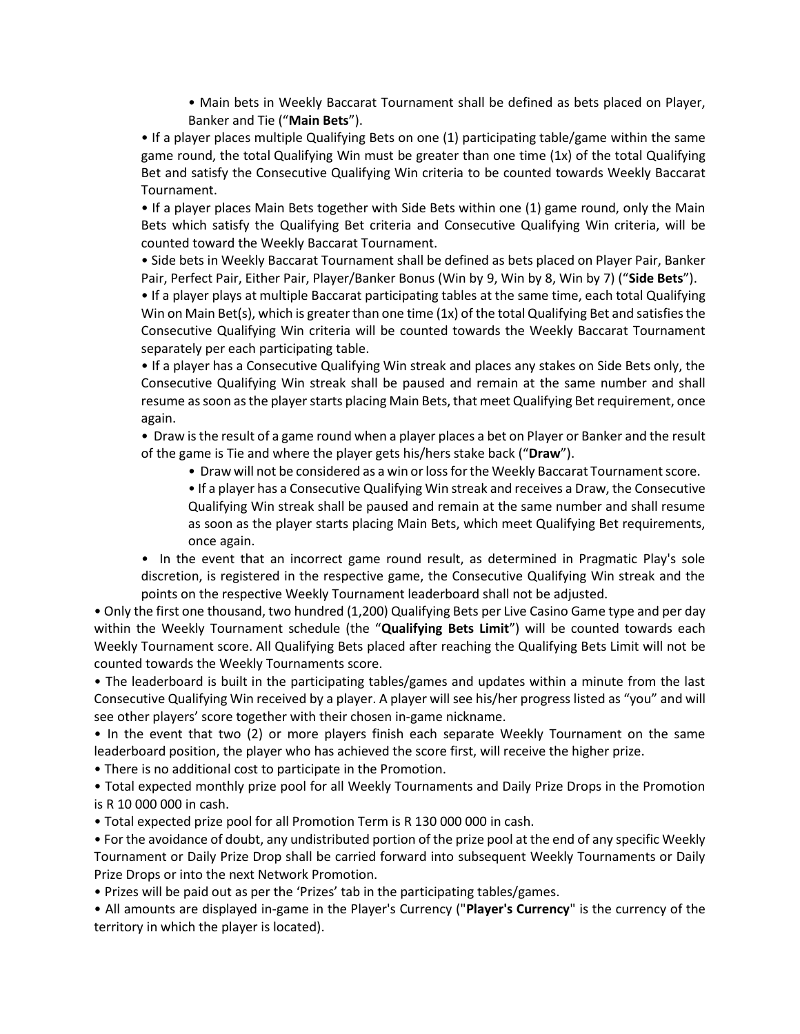• Main bets in Weekly Baccarat Tournament shall be defined as bets placed on Player, Banker and Tie ("**Main Bets**").

• If a player places multiple Qualifying Bets on one (1) participating table/game within the same game round, the total Qualifying Win must be greater than one time (1x) of the total Qualifying Bet and satisfy the Consecutive Qualifying Win criteria to be counted towards Weekly Baccarat Tournament.

• If a player places Main Bets together with Side Bets within one (1) game round, only the Main Bets which satisfy the Qualifying Bet criteria and Consecutive Qualifying Win criteria, will be counted toward the Weekly Baccarat Tournament.

• Side bets in Weekly Baccarat Tournament shall be defined as bets placed on Player Pair, Banker Pair, Perfect Pair, Either Pair, Player/Banker Bonus (Win by 9, Win by 8, Win by 7) ("**Side Bets**").

• If a player plays at multiple Baccarat participating tables at the same time, each total Qualifying Win on Main Bet(s), which is greater than one time (1x) of the total Qualifying Bet and satisfies the Consecutive Qualifying Win criteria will be counted towards the Weekly Baccarat Tournament separately per each participating table.

• If a player has a Consecutive Qualifying Win streak and places any stakes on Side Bets only, the Consecutive Qualifying Win streak shall be paused and remain at the same number and shall resume as soon as the player starts placing Main Bets, that meet Qualifying Bet requirement, once again.

• Draw is the result of a game round when a player places a bet on Player or Banker and the result of the game is Tie and where the player gets his/hers stake back ("**Draw**").

- Draw will not be considered as a win or loss for the Weekly Baccarat Tournament score.
- If a player has a Consecutive Qualifying Win streak and receives a Draw, the Consecutive Qualifying Win streak shall be paused and remain at the same number and shall resume as soon as the player starts placing Main Bets, which meet Qualifying Bet requirements, once again.
- *•* In the event that an incorrect game round result, as determined in Pragmatic Play's sole discretion, is registered in the respective game, the Consecutive Qualifying Win streak and the points on the respective Weekly Tournament leaderboard shall not be adjusted.

• Only the first one thousand, two hundred (1,200) Qualifying Bets per Live Casino Game type and per day within the Weekly Tournament schedule (the "**Qualifying Bets Limit**") will be counted towards each Weekly Tournament score. All Qualifying Bets placed after reaching the Qualifying Bets Limit will not be counted towards the Weekly Tournaments score.

• The leaderboard is built in the participating tables/games and updates within a minute from the last Consecutive Qualifying Win received by a player. A player will see his/her progress listed as "you" and will see other players' score together with their chosen in-game nickname.

• In the event that two (2) or more players finish each separate Weekly Tournament on the same leaderboard position, the player who has achieved the score first, will receive the higher prize. 

• There is no additional cost to participate in the Promotion.

• Total expected monthly prize pool for all Weekly Tournaments and Daily Prize Drops in the Promotion is R 10 000 000 in cash.

• Total expected prize pool for all Promotion Term is R 130 000 000 in cash.

• For the avoidance of doubt, any undistributed portion of the prize pool at the end of any specific Weekly Tournament or Daily Prize Drop shall be carried forward into subsequent Weekly Tournaments or Daily Prize Drops or into the next Network Promotion.

• Prizes will be paid out as per the 'Prizes' tab in the participating tables/games. 

• All amounts are displayed in-game in the Player's Currency ("**Player's Currency**" is the currency of the territory in which the player is located).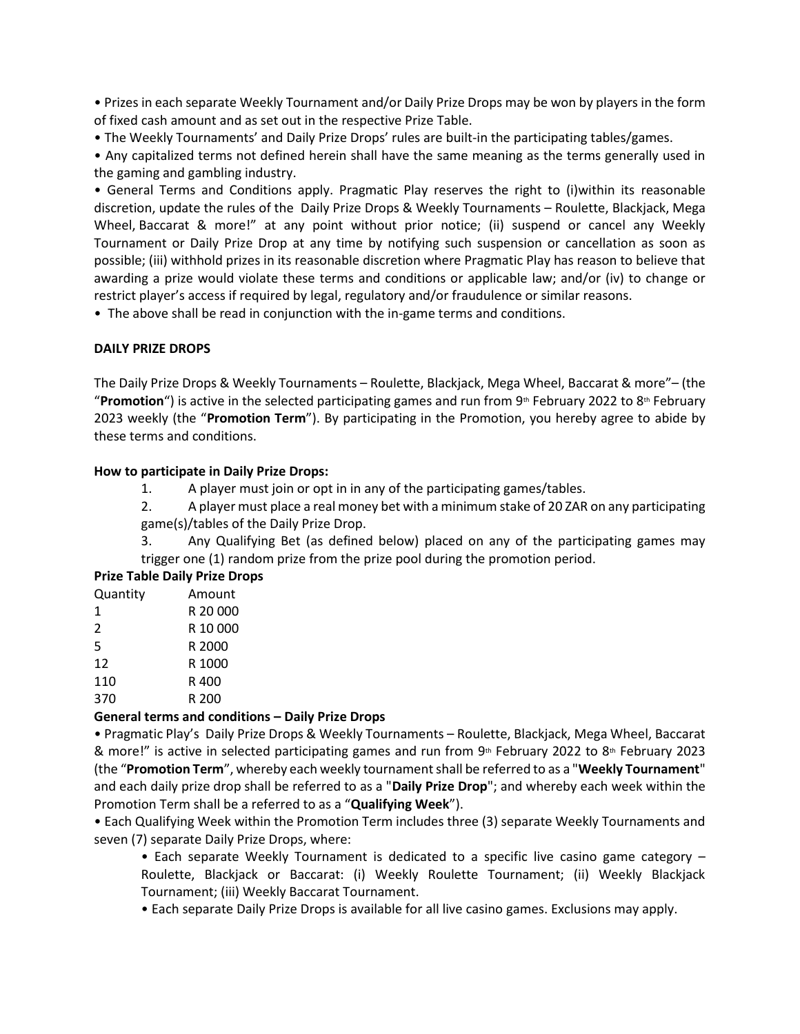• Prizes in each separate Weekly Tournament and/or Daily Prize Drops may be won by players in the form of fixed cash amount and as set out in the respective Prize Table.

• The Weekly Tournaments' and Daily Prize Drops' rules are built-in the participating tables/games. 

• Any capitalized terms not defined herein shall have the same meaning as the terms generally used in the gaming and gambling industry.

• General Terms and Conditions apply. Pragmatic Play reserves the right to (i)within its reasonable discretion, update the rules of the  Daily Prize Drops & Weekly Tournaments – Roulette, Blackjack, Mega Wheel, Baccarat & more!" at any point without prior notice; (ii) suspend or cancel any Weekly Tournament or Daily Prize Drop at any time by notifying such suspension or cancellation as soon as possible; (iii) withhold prizes in its reasonable discretion where Pragmatic Play has reason to believe that awarding a prize would violate these terms and conditions or applicable law; and/or (iv) to change or restrict player's access if required by legal, regulatory and/or fraudulence or similar reasons.

• The above shall be read in conjunction with the in-game terms and conditions.

## **DAILY PRIZE DROPS**

The Daily Prize Drops & Weekly Tournaments – Roulette, Blackjack, Mega Wheel, Baccarat & more"– (the "**Promotion**") is active in the selected participating games and run from 9<sup>th</sup> February 2022 to 8<sup>th</sup> February 2023 weekly (the "**Promotion Term**"). By participating in the Promotion, you hereby agree to abide by these terms and conditions.

## **How to participate in Daily Prize Drops:**

- 1. A player must join or opt in in any of the participating games/tables.
- 2. A player must place a real money bet with a minimum stake of 20 ZAR on any participating game(s)/tables of the Daily Prize Drop.
- 3. Any Qualifying Bet (as defined below) placed on any of the participating games may trigger one (1) random prize from the prize pool during the promotion period.

## **Prize Table Daily Prize Drops**

| Quantity | Amount   |
|----------|----------|
| 1        | R 20 000 |
| 2        | R 10 000 |
| 5        | R 2000   |
| 12       | R 1000   |
| 110      | R 400    |
| 370      | R 200    |
|          |          |

## **General terms and conditions – Daily Prize Drops**

• Pragmatic Play's  Daily Prize Drops & Weekly Tournaments – Roulette, Blackjack, Mega Wheel, Baccarat & more!" is active in selected participating games and run from  $9<sup>th</sup>$  February 2022 to  $8<sup>th</sup>$  February 2023 (the "**Promotion Term**", whereby each weekly tournament shall be referred to as a "**Weekly Tournament**" and each daily prize drop shall be referred to as a "**Daily Prize Drop**"; and whereby each week within the Promotion Term shall be a referred to as a "**Qualifying Week**").

• Each Qualifying Week within the Promotion Term includes three (3) separate Weekly Tournaments and seven (7) separate Daily Prize Drops, where:

• Each separate Weekly Tournament is dedicated to a specific live casino game category – Roulette, Blackjack or Baccarat: (i) Weekly Roulette Tournament; (ii) Weekly Blackjack Tournament; (iii) Weekly Baccarat Tournament.

• Each separate Daily Prize Drops is available for all live casino games. Exclusions may apply.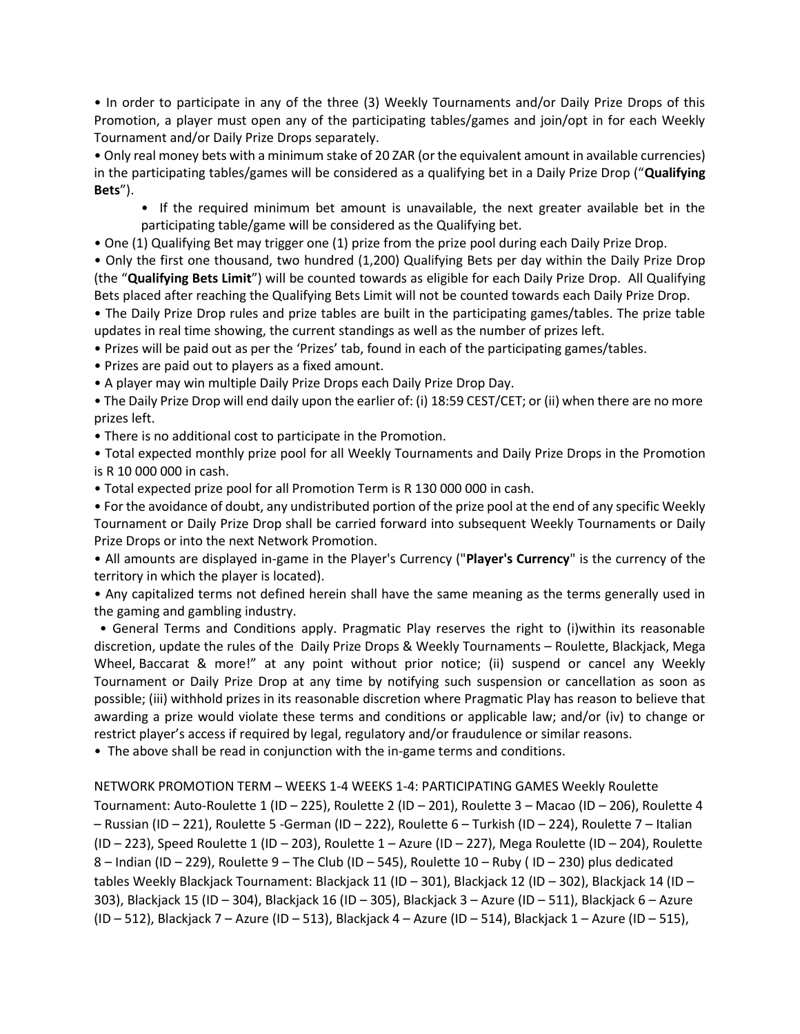• In order to participate in any of the three (3) Weekly Tournaments and/or Daily Prize Drops of this Promotion, a player must open any of the participating tables/games and join/opt in for each Weekly Tournament and/or Daily Prize Drops separately.

• Only real money bets with a minimum stake of 20 ZAR (or the equivalent amount in available currencies) in the participating tables/games will be considered as a qualifying bet in a Daily Prize Drop ("**Qualifying Bets**").

• If the required minimum bet amount is unavailable, the next greater available bet in the participating table/game will be considered as the Qualifying bet.

• One (1) Qualifying Bet may trigger one (1) prize from the prize pool during each Daily Prize Drop.

• Only the first one thousand, two hundred (1,200) Qualifying Bets per day within the Daily Prize Drop (the "**Qualifying Bets Limit**") will be counted towards as eligible for each Daily Prize Drop. All Qualifying Bets placed after reaching the Qualifying Bets Limit will not be counted towards each Daily Prize Drop.

• The Daily Prize Drop rules and prize tables are built in the participating games/tables. The prize table updates in real time showing, the current standings as well as the number of prizes left.

• Prizes will be paid out as per the 'Prizes' tab, found in each of the participating games/tables.

• Prizes are paid out to players as a fixed amount.

• A player may win multiple Daily Prize Drops each Daily Prize Drop Day.

• The Daily Prize Drop will end daily upon the earlier of: (i) 18:59 CEST/CET; or (ii) when there are no more prizes left.

• There is no additional cost to participate in the Promotion.

• Total expected monthly prize pool for all Weekly Tournaments and Daily Prize Drops in the Promotion is R 10 000 000 in cash.

• Total expected prize pool for all Promotion Term is R 130 000 000 in cash.

• For the avoidance of doubt, any undistributed portion of the prize pool at the end of any specific Weekly Tournament or Daily Prize Drop shall be carried forward into subsequent Weekly Tournaments or Daily Prize Drops or into the next Network Promotion.

• All amounts are displayed in-game in the Player's Currency ("**Player's Currency**" is the currency of the territory in which the player is located). 

• Any capitalized terms not defined herein shall have the same meaning as the terms generally used in the gaming and gambling industry.

• General Terms and Conditions apply. Pragmatic Play reserves the right to (i)within its reasonable discretion, update the rules of the  Daily Prize Drops & Weekly Tournaments – Roulette, Blackjack, Mega Wheel, Baccarat & more!" at any point without prior notice; (ii) suspend or cancel any Weekly Tournament or Daily Prize Drop at any time by notifying such suspension or cancellation as soon as possible; (iii) withhold prizes in its reasonable discretion where Pragmatic Play has reason to believe that awarding a prize would violate these terms and conditions or applicable law; and/or (iv) to change or restrict player's access if required by legal, regulatory and/or fraudulence or similar reasons.

• The above shall be read in conjunction with the in-game terms and conditions.

NETWORK PROMOTION TERM – WEEKS 1-4 WEEKS 1-4: PARTICIPATING GAMES Weekly Roulette Tournament: Auto-Roulette 1 (ID – 225), Roulette 2 (ID – 201), Roulette 3 – Macao (ID – 206), Roulette 4 – Russian (ID – 221), Roulette 5 -German (ID – 222), Roulette 6 – Turkish (ID – 224), Roulette 7 – Italian (ID – 223), Speed Roulette 1 (ID – 203), Roulette 1 – Azure (ID – 227), Mega Roulette (ID – 204), Roulette 8 – Indian (ID – 229), Roulette 9 – The Club (ID – 545), Roulette 10 – Ruby ( ID – 230) plus dedicated tables Weekly Blackjack Tournament: Blackjack 11 (ID – 301), Blackjack 12 (ID – 302), Blackjack 14 (ID – 303), Blackjack 15 (ID – 304), Blackjack 16 (ID – 305), Blackjack 3 – Azure (ID – 511), Blackjack 6 – Azure (ID – 512), Blackjack 7 – Azure (ID – 513), Blackjack 4 – Azure (ID – 514), Blackjack 1 – Azure (ID – 515),